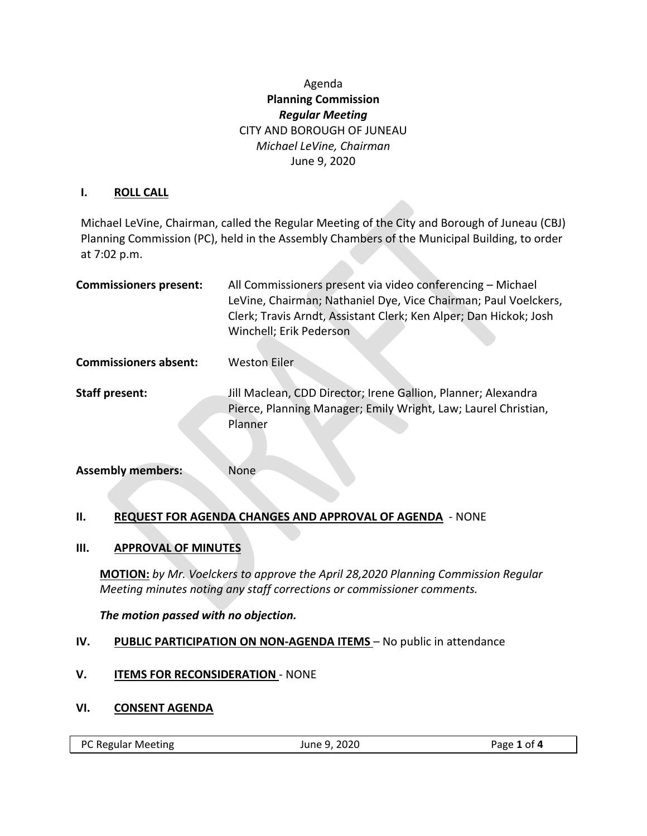# Agenda **Planning Commission** *Regular Meeting* CITY AND BOROUGH OF JUNEAU *Michael LeVine, Chairman* June 9, 2020

#### **I. ROLL CALL**

Michael LeVine, Chairman, called the Regular Meeting of the City and Borough of Juneau (CBJ) Planning Commission (PC), held in the Assembly Chambers of the Municipal Building, to order at 7:02 p.m.

| <b>Commissioners present:</b> | All Commissioners present via video conferencing - Michael<br>LeVine, Chairman; Nathaniel Dye, Vice Chairman; Paul Voelckers,<br>Clerk; Travis Arndt, Assistant Clerk; Ken Alper; Dan Hickok; Josh<br>Winchell; Erik Pederson |
|-------------------------------|-------------------------------------------------------------------------------------------------------------------------------------------------------------------------------------------------------------------------------|
| <b>Commissioners absent:</b>  | <b>Weston Eiler</b>                                                                                                                                                                                                           |
| <b>Staff present:</b>         | Jill Maclean, CDD Director; Irene Gallion, Planner; Alexandra<br>Pierce, Planning Manager; Emily Wright, Law; Laurel Christian,<br>Planner                                                                                    |

| <b>Assembly members:</b> | None |
|--------------------------|------|
|                          |      |

# **II. REQUEST FOR AGENDA CHANGES AND APPROVAL OF AGENDA** - NONE

#### **III. APPROVAL OF MINUTES**

**MOTION:** *by Mr. Voelckers to approve the April 28,2020 Planning Commission Regular Meeting minutes noting any staff corrections or commissioner comments.*

#### *The motion passed with no objection.*

# **IV. PUBLIC PARTICIPATION ON NON-AGENDA ITEMS** – No public in attendance

**V. ITEMS FOR RECONSIDERATION** - NONE

#### **VI. CONSENT AGENDA**

PC Regular Meeting June 9, 2020 Page **1** of **4**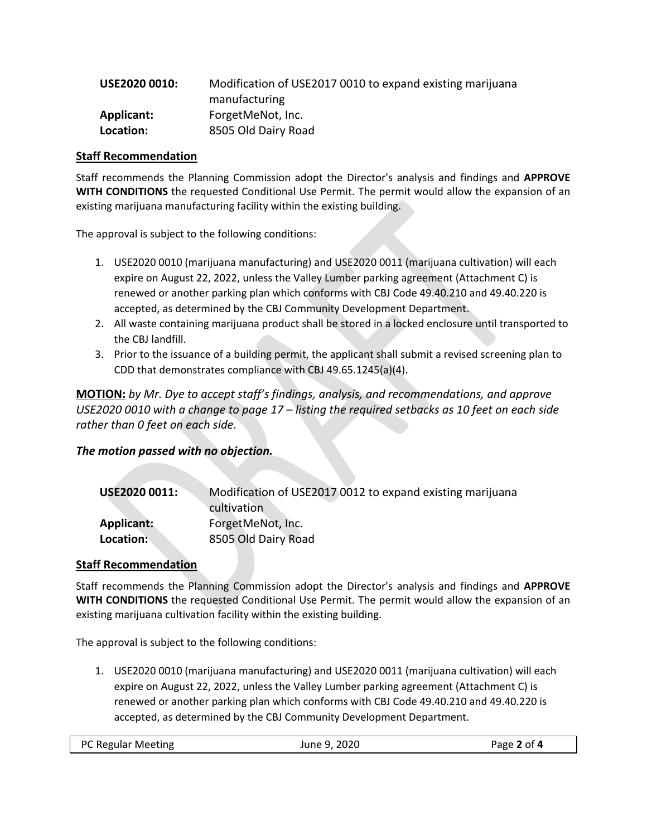| <b>USE2020 0010:</b> | Modification of USE2017 0010 to expand existing marijuana |
|----------------------|-----------------------------------------------------------|
|                      | manufacturing                                             |
| Applicant:           | ForgetMeNot, Inc.                                         |
| Location:            | 8505 Old Dairy Road                                       |

#### **Staff Recommendation**

Staff recommends the Planning Commission adopt the Director's analysis and findings and **APPROVE WITH CONDITIONS** the requested Conditional Use Permit. The permit would allow the expansion of an existing marijuana manufacturing facility within the existing building.

The approval is subject to the following conditions:

- 1. USE2020 0010 (marijuana manufacturing) and USE2020 0011 (marijuana cultivation) will each expire on August 22, 2022, unless the Valley Lumber parking agreement (Attachment C) is renewed or another parking plan which conforms with CBJ Code 49.40.210 and 49.40.220 is accepted, as determined by the CBJ Community Development Department.
- 2. All waste containing marijuana product shall be stored in a locked enclosure until transported to the CBJ landfill.
- 3. Prior to the issuance of a building permit, the applicant shall submit a revised screening plan to CDD that demonstrates compliance with CBJ 49.65.1245(a)(4).

**MOTION:** *by Mr. Dye to accept staff's findings, analysis, and recommendations, and approve USE2020 0010 with a change to page 17 – listing the required setbacks as 10 feet on each side rather than 0 feet on each side.*

*The motion passed with no objection.*

| <b>USE2020 0011:</b> | Modification of USE2017 0012 to expand existing marijuana |
|----------------------|-----------------------------------------------------------|
|                      | cultivation                                               |
| Applicant:           | ForgetMeNot, Inc.                                         |
| Location:            | 8505 Old Dairy Road                                       |

#### **Staff Recommendation**

Staff recommends the Planning Commission adopt the Director's analysis and findings and **APPROVE WITH CONDITIONS** the requested Conditional Use Permit. The permit would allow the expansion of an existing marijuana cultivation facility within the existing building.

The approval is subject to the following conditions:

1. USE2020 0010 (marijuana manufacturing) and USE2020 0011 (marijuana cultivation) will each expire on August 22, 2022, unless the Valley Lumber parking agreement (Attachment C) is renewed or another parking plan which conforms with CBJ Code 49.40.210 and 49.40.220 is accepted, as determined by the CBJ Community Development Department.

|  | PC Regular Meeting | June 9, 2020 | Page 2 of 4 |
|--|--------------------|--------------|-------------|
|--|--------------------|--------------|-------------|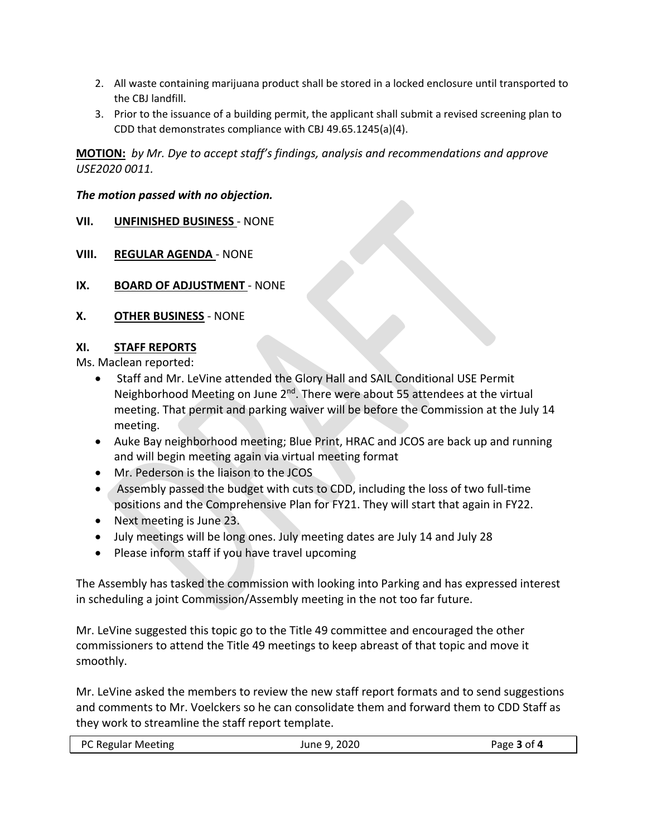- 2. All waste containing marijuana product shall be stored in a locked enclosure until transported to the CBJ landfill.
- 3. Prior to the issuance of a building permit, the applicant shall submit a revised screening plan to CDD that demonstrates compliance with CBJ 49.65.1245(a)(4).

**MOTION:** *by Mr. Dye to accept staff's findings, analysis and recommendations and approve USE2020 0011.* 

### *The motion passed with no objection.*

- **VII. UNFINISHED BUSINESS** NONE
- **VIII. REGULAR AGENDA** NONE
- **IX. BOARD OF ADJUSTMENT** NONE
- **X. OTHER BUSINESS** NONE

### **XI. STAFF REPORTS**

Ms. Maclean reported:

- Staff and Mr. LeVine attended the Glory Hall and SAIL Conditional USE Permit Neighborhood Meeting on June 2<sup>nd</sup>. There were about 55 attendees at the virtual meeting. That permit and parking waiver will be before the Commission at the July 14 meeting.
- Auke Bay neighborhood meeting; Blue Print, HRAC and JCOS are back up and running and will begin meeting again via virtual meeting format
- Mr. Pederson is the liaison to the JCOS
- Assembly passed the budget with cuts to CDD, including the loss of two full-time positions and the Comprehensive Plan for FY21. They will start that again in FY22.
- Next meeting is June 23.
- July meetings will be long ones. July meeting dates are July 14 and July 28
- Please inform staff if you have travel upcoming

The Assembly has tasked the commission with looking into Parking and has expressed interest in scheduling a joint Commission/Assembly meeting in the not too far future.

Mr. LeVine suggested this topic go to the Title 49 committee and encouraged the other commissioners to attend the Title 49 meetings to keep abreast of that topic and move it smoothly.

Mr. LeVine asked the members to review the new staff report formats and to send suggestions and comments to Mr. Voelckers so he can consolidate them and forward them to CDD Staff as they work to streamline the staff report template.

|  | PC Regular Meeting | June 9, 2020 | Page 3 of 4 |
|--|--------------------|--------------|-------------|
|--|--------------------|--------------|-------------|